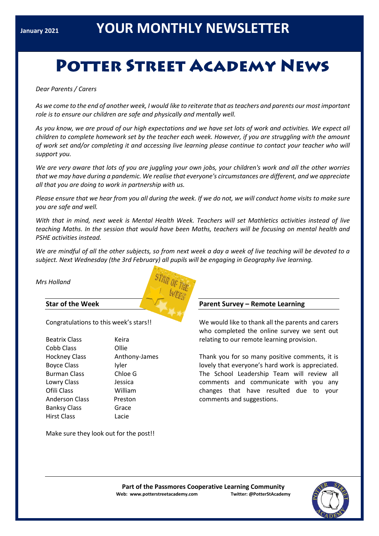# **POTTER STREET ACADEMY NEWS**

*Dear Parents / Carers*

*As we come to the end of another week, I would like to reiterate that as teachers and parents our most important role is to ensure our children are safe and physically and mentally well.*

*As you know, we are proud of our high expectations and we have set lots of work and activities. We expect all children to complete homework set by the teacher each week. However, if you are struggling with the amount of work set and/or completing it and accessing live learning please continue to contact your teacher who will support you.*

*We are very aware that lots of you are juggling your own jobs, your children's work and all the other worries that we may have during a pandemic. We realise that everyone's circumstances are different, and we appreciate all that you are doing to work in partnership with us.*

*Please ensure that we hear from you all during the week. If we do not, we will conduct home visits to make sure you are safe and well.*

*With that in mind, next week is Mental Health Week. Teachers will set Mathletics activities instead of live teaching Maths. In the session that would have been Maths, teachers will be focusing on mental health and PSHE activities instead.*

*We are mindful of all the other subjects, so from next week a day a week of live teaching will be devoted to a subject. Next Wednesday (the 3rd February) all pupils will be engaging in Geography live learning.*

*Mrs Holland*

# **Star of the Week**

Congratulations to this week's stars!!

| <b>Beatrix Class</b> | Keira         |
|----------------------|---------------|
| Cobb Class           | Ollie         |
| <b>Hockney Class</b> | Anthony-James |
| <b>Boyce Class</b>   | Iyler         |
| <b>Burman Class</b>  | Chloe G       |
| Lowry Class          | Jessica       |
| Ofili Class          | William       |
| Anderson Class       | Preston       |
| <b>Banksy Class</b>  | Grace         |
| Hirst Class          | Lacie         |
|                      |               |

Make sure they look out for the post!!

# **Parent Survey – Remote Learning**

We would like to thank all the parents and carers who completed the online survey we sent out relating to our remote learning provision.

Thank you for so many positive comments, it is lovely that everyone's hard work is appreciated. The School Leadership Team will review all comments and communicate with you any changes that have resulted due to your comments and suggestions.

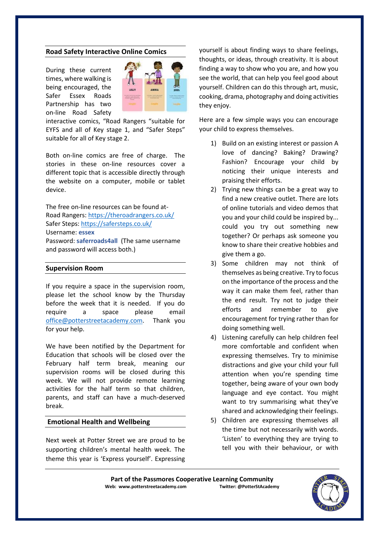#### **Road Safety Interactive Online Comics**

During these current times, where walking is being encouraged, the Safer Essex Roads Partnership has two on-line Road Safety



interactive comics, "Road Rangers "suitable for EYFS and all of Key stage 1, and "Safer Steps" suitable for all of Key stage 2.

Both on-line comics are free of charge. The stories in these on-line resources cover a different topic that is accessible directly through the website on a computer, mobile or tablet device.

The free on-line resources can be found at-Road Rangers[: https://theroadrangers.co.uk/](about:blank) Safer Steps: [https://safersteps.co.uk/](about:blank) Username: **essex** Password: **saferroads4all** (The same username

and password will access both.)

## **Supervision Room**

If you require a space in the supervision room, please let the school know by the Thursday before the week that it is needed. If you do require a space please email [office@potterstreetacademy.com.](about:blank) Thank you for your help.

We have been notified by the Department for Education that schools will be closed over the February half term break, meaning our supervision rooms will be closed during this week. We will not provide remote learning activities for the half term so that children, parents, and staff can have a much-deserved break.

## **Emotional Health and Wellbeing**

Next week at Potter Street we are proud to be supporting children's mental health week. The theme this year is 'Express yourself'. Expressing yourself is about finding ways to share feelings, thoughts, or ideas, through creativity. It is about finding a way to show who you are, and how you see the world, that can help you feel good about yourself. Children can do this through art, music, cooking, drama, photography and doing activities they enjoy.

Here are a few simple ways you can encourage your child to express themselves.

- 1) Build on an existing interest or passion A love of dancing? Baking? Drawing? Fashion? Encourage your child by noticing their unique interests and praising their efforts.
- 2) Trying new things can be a great way to find a new creative outlet. There are lots of online tutorials and video demos that you and your child could be inspired by... could you try out something new together? Or perhaps ask someone you know to share their creative hobbies and give them a go.
- 3) Some children may not think of themselves as being creative. Try to focus on the importance of the process and the way it can make them feel, rather than the end result. Try not to judge their efforts and remember to give encouragement for trying rather than for doing something well.
- 4) Listening carefully can help children feel more comfortable and confident when expressing themselves. Try to minimise distractions and give your child your full attention when you're spending time together, being aware of your own body language and eye contact. You might want to try summarising what they've shared and acknowledging their feelings.
- 5) Children are expressing themselves all the time but not necessarily with words. 'Listen' to everything they are trying to tell you with their behaviour, or with

Part of the Passmores Cooperative Learning Community<br>eb: www.potterstreetacademy.com **Intiter:** @PotterStAcademy **Web: www.potterstreetacademy.com**